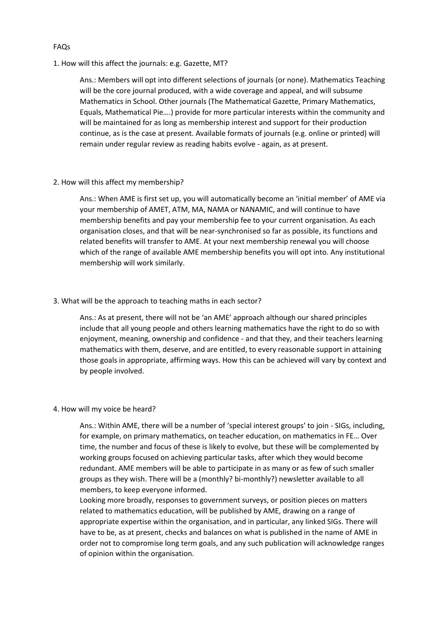## FAQs

1. How will this affect the journals: e.g. Gazette, MT?

Ans.: Members will opt into different selections of journals (or none). Mathematics Teaching will be the core journal produced, with a wide coverage and appeal, and will subsume Mathematics in School. Other journals (The Mathematical Gazette, Primary Mathematics, Equals, Mathematical Pie….) provide for more particular interests within the community and will be maintained for as long as membership interest and support for their production continue, as is the case at present. Available formats of journals (e.g. online or printed) will remain under regular review as reading habits evolve - again, as at present.

2. How will this affect my membership?

Ans.: When AME is first set up, you will automatically become an 'initial member' of AME via your membership of AMET, ATM, MA, NAMA or NANAMIC, and will continue to have membership benefits and pay your membership fee to your current organisation. As each organisation closes, and that will be near-synchronised so far as possible, its functions and related benefits will transfer to AME. At your next membership renewal you will choose which of the range of available AME membership benefits you will opt into. Any institutional membership will work similarly.

### 3. What will be the approach to teaching maths in each sector?

Ans.: As at present, there will not be 'an AME' approach although our shared principles include that all young people and others learning mathematics have the right to do so with enjoyment, meaning, ownership and confidence - and that they, and their teachers learning mathematics with them, deserve, and are entitled, to every reasonable support in attaining those goals in appropriate, affirming ways. How this can be achieved will vary by context and by people involved.

# 4. How will my voice be heard?

Ans.: Within AME, there will be a number of 'special interest groups' to join - SIGs, including, for example, on primary mathematics, on teacher education, on mathematics in FE… Over time, the number and focus of these is likely to evolve, but these will be complemented by working groups focused on achieving particular tasks, after which they would become redundant. AME members will be able to participate in as many or as few of such smaller groups as they wish. There will be a (monthly? bi-monthly?) newsletter available to all members, to keep everyone informed.

Looking more broadly, responses to government surveys, or position pieces on matters related to mathematics education, will be published by AME, drawing on a range of appropriate expertise within the organisation, and in particular, any linked SIGs. There will have to be, as at present, checks and balances on what is published in the name of AME in order not to compromise long term goals, and any such publication will acknowledge ranges of opinion within the organisation.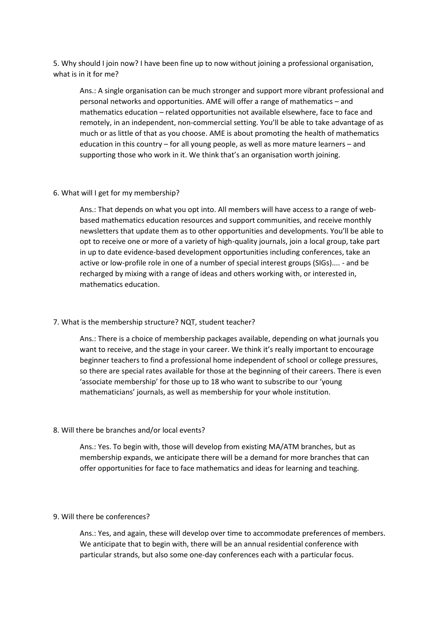5. Why should I join now? I have been fine up to now without joining a professional organisation, what is in it for me?

Ans.: A single organisation can be much stronger and support more vibrant professional and personal networks and opportunities. AME will offer a range of mathematics – and mathematics education – related opportunities not available elsewhere, face to face and remotely, in an independent, non-commercial setting. You'll be able to take advantage of as much or as little of that as you choose. AME is about promoting the health of mathematics education in this country – for all young people, as well as more mature learners – and supporting those who work in it. We think that's an organisation worth joining.

### 6. What will I get for my membership?

Ans.: That depends on what you opt into. All members will have access to a range of webbased mathematics education resources and support communities, and receive monthly newsletters that update them as to other opportunities and developments. You'll be able to opt to receive one or more of a variety of high-quality journals, join a local group, take part in up to date evidence-based development opportunities including conferences, take an active or low-profile role in one of a number of special interest groups (SIGs).... - and be recharged by mixing with a range of ideas and others working with, or interested in, mathematics education.

#### 7. What is the membership structure? NQT, student teacher?

Ans.: There is a choice of membership packages available, depending on what journals you want to receive, and the stage in your career. We think it's really important to encourage beginner teachers to find a professional home independent of school or college pressures, so there are special rates available for those at the beginning of their careers. There is even 'associate membership' for those up to 18 who want to subscribe to our 'young mathematicians' journals, as well as membership for your whole institution.

### 8. Will there be branches and/or local events?

Ans.: Yes. To begin with, those will develop from existing MA/ATM branches, but as membership expands, we anticipate there will be a demand for more branches that can offer opportunities for face to face mathematics and ideas for learning and teaching.

## 9. Will there be conferences?

Ans.: Yes, and again, these will develop over time to accommodate preferences of members. We anticipate that to begin with, there will be an annual residential conference with particular strands, but also some one-day conferences each with a particular focus.